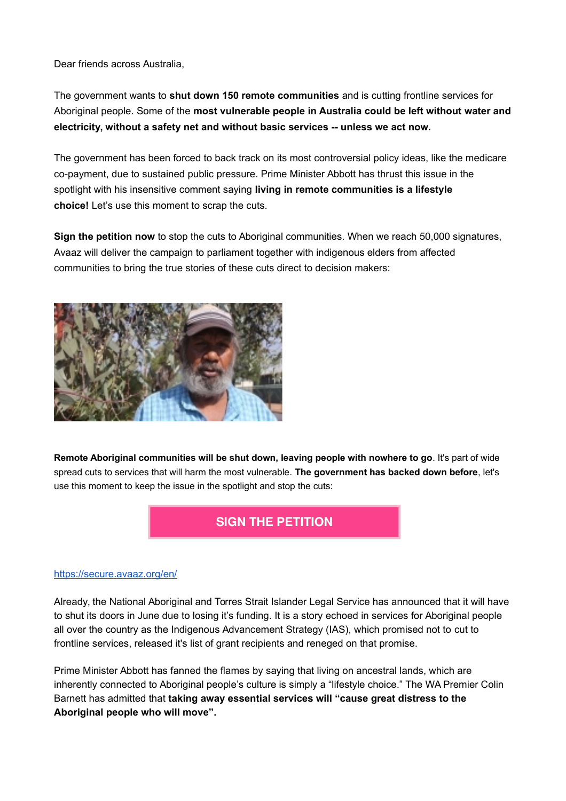Dear friends across Australia,

The government wants to **shut down 150 remote communities** and is cutting frontline services for Aboriginal people. Some of the **most vulnerable people in Australia could be left without water and electricity, without a safety net and without basic services -- unless we act now.**

The government has been forced to back track on its most controversial policy ideas, like the medicare co-payment, due to sustained public pressure. Prime Minister Abbott has thrust this issue in the spotlight with his insensitive comment saying **living in remote communities is a lifestyle choice!** Let's use this moment to scrap the cuts.

**Sign the petition now** to stop the cuts to Aboriginal communities. When we reach 50,000 signatures, Avaaz will deliver the campaign to parliament together with indigenous elders from affected communities to bring the true stories of these cuts direct to decision makers:



**Remote Aboriginal communities will be shut down, leaving people with nowhere to go**. It's part of wide spread cuts to services that will harm the most vulnerable. **The government has backed down before**, let's use this moment to keep the issue in the spotlight and stop the cuts:

## **[SIGN THE PETITION](https://secure.avaaz.org/en/stop_the_shut_down_loc/?bPlyAdb&v=55116)**

## [https://secure.avaaz.org/en/](https://secure.avaaz.org/en/stop_the_shut_down_loc/?bPlyAdb&v=55116)

Already, the National Aboriginal and Torres Strait Islander Legal Service has announced that it will have to shut its doors in June due to losing it's funding. It is a story echoed in services for Aboriginal people all over the country as the Indigenous Advancement Strategy (IAS), which promised not to cut to frontline services, released it's list of grant recipients and reneged on that promise.

Prime Minister Abbott has fanned the flames by saying that living on ancestral lands, which are inherently connected to Aboriginal people's culture is simply a "lifestyle choice." The WA Premier Colin Barnett has admitted that **taking away essential services will "cause great distress to the Aboriginal people who will move".**